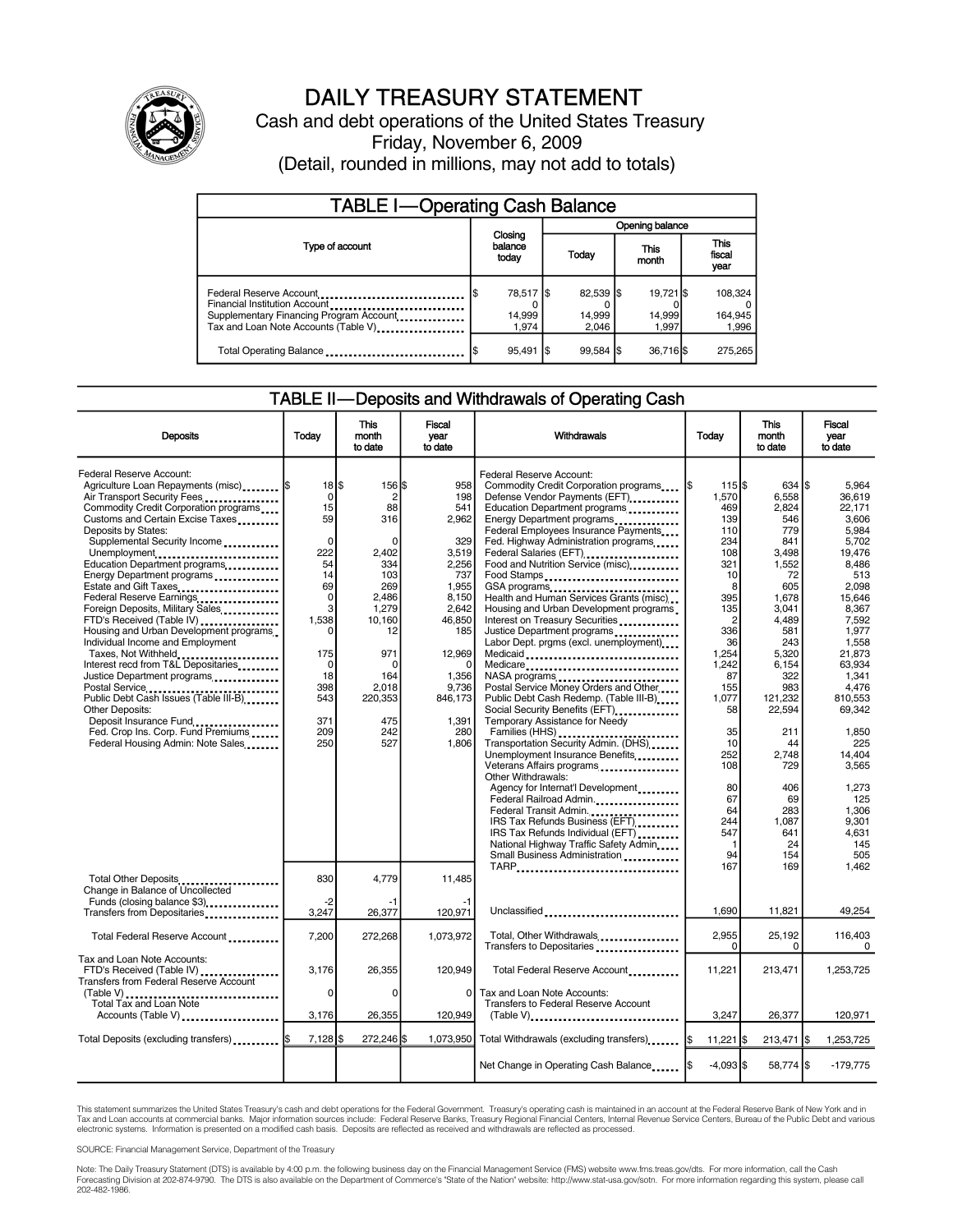

# DAILY TREASURY STATEMENT

Cash and debt operations of the United States Treasury Friday, November 6, 2009 (Detail, rounded in millions, may not add to totals)

| <b>TABLE I-Operating Cash Balance</b>                                                                                                       |                              |                              |                              |                               |  |  |  |
|---------------------------------------------------------------------------------------------------------------------------------------------|------------------------------|------------------------------|------------------------------|-------------------------------|--|--|--|
|                                                                                                                                             |                              | Opening balance              |                              |                               |  |  |  |
| Type of account                                                                                                                             | Closing<br>balance<br>today  | Today                        | <b>This</b><br>month         | <b>This</b><br>fiscal<br>year |  |  |  |
| Federal Reserve Account<br>Financial Institution Account<br>Supplementary Financing Program Account<br>Tax and Loan Note Accounts (Table V) | 78,517 \$<br>14,999<br>1.974 | 82,539 \$<br>14,999<br>2.046 | 19.721 \$<br>14,999<br>1.997 | 108,324<br>164,945<br>1,996   |  |  |  |
| Total Operating Balance                                                                                                                     | $95,491$ $\sqrt{5}$          | $99.584$ S                   | 36,716                       | 275.265                       |  |  |  |

#### TABLE II—Deposits and Withdrawals of Operating Cash

| <b>Deposits</b>                                                                                                                                                                                                                                                                                                                                                                                                                                                                                                                                                                                                                                                                                                                                                                                          | Todav                                                                                                                                                             | <b>This</b><br>month<br>to date                                                                                                                                               | <b>Fiscal</b><br>vear<br>to date                                                                                                                                            | Withdrawals                                                                                                                                                                                                                                                                                                                                                                                                                                                                                                                                                                                                                                                                                                                                                                                                                                                                                                                                                                                                                                                                                                         | Today                                                                                                                                                                                                                                        | <b>This</b><br>month<br>to date                                                                                                                                                                                                                          | <b>Fiscal</b><br>vear<br>to date                                                                                                                                                                                                                                                             |
|----------------------------------------------------------------------------------------------------------------------------------------------------------------------------------------------------------------------------------------------------------------------------------------------------------------------------------------------------------------------------------------------------------------------------------------------------------------------------------------------------------------------------------------------------------------------------------------------------------------------------------------------------------------------------------------------------------------------------------------------------------------------------------------------------------|-------------------------------------------------------------------------------------------------------------------------------------------------------------------|-------------------------------------------------------------------------------------------------------------------------------------------------------------------------------|-----------------------------------------------------------------------------------------------------------------------------------------------------------------------------|---------------------------------------------------------------------------------------------------------------------------------------------------------------------------------------------------------------------------------------------------------------------------------------------------------------------------------------------------------------------------------------------------------------------------------------------------------------------------------------------------------------------------------------------------------------------------------------------------------------------------------------------------------------------------------------------------------------------------------------------------------------------------------------------------------------------------------------------------------------------------------------------------------------------------------------------------------------------------------------------------------------------------------------------------------------------------------------------------------------------|----------------------------------------------------------------------------------------------------------------------------------------------------------------------------------------------------------------------------------------------|----------------------------------------------------------------------------------------------------------------------------------------------------------------------------------------------------------------------------------------------------------|----------------------------------------------------------------------------------------------------------------------------------------------------------------------------------------------------------------------------------------------------------------------------------------------|
| Federal Reserve Account:<br>Agriculture Loan Repayments (misc)  \$<br>Air Transport Security Fees<br>Commodity Credit Corporation programs<br>Customs and Certain Excise Taxes<br>Deposits by States:<br>Supplemental Security Income<br>Unemployment<br>Education Department programs<br>Energy Department programs<br>Estate and Gift Taxes<br>Federal Reserve Earnings<br>Foreign Deposits, Military Sales<br>FTD's Received (Table IV)<br>Housing and Urban Development programs<br>Individual Income and Employment<br>Taxes, Not Withheld<br>Interest recd from T&L Depositaries<br>Justice Department programs<br>Postal Service<br>Public Debt Cash Issues (Table III-B)<br>Other Deposits:<br>Deposit Insurance Fund<br>Fed. Crop Ins. Corp. Fund Premiums<br>Federal Housing Admin: Note Sales | $18$ $\frac{1}{3}$<br>$\Omega$<br>15<br>59<br>$\Omega$<br>222<br>54<br>14<br>69<br>$\mathbf 0$<br>3<br>1.538<br>175<br>0<br>18<br>398<br>543<br>371<br>209<br>250 | 156 \$<br>$\overline{2}$<br>88<br>316<br>$\Omega$<br>2,402<br>334<br>103<br>269<br>2.486<br>1.279<br>10.160<br>12<br>971<br>n<br>164<br>2,018<br>220,353<br>475<br>242<br>527 | 958<br>198<br>541<br>2.962<br>329<br>3,519<br>2,256<br>737<br>1,955<br>8.150<br>2.642<br>46.850<br>185<br>12,969<br>n<br>1,356<br>9,736<br>846.173<br>1,391<br>280<br>1,806 | Federal Reserve Account:<br>Commodity Credit Corporation programs<br>Defense Vendor Payments (EFT)<br>Education Department programs<br>Energy Department programs<br>Federal Employees Insurance Payments<br>Fed. Highway Administration programs<br>Federal Salaries (EFT) <b></b><br>Food and Nutrition Service (misc)<br>Food Stamps<br>GSA programs<br>Health and Human Services Grants (misc)<br>Housing and Urban Development programs<br>Interest on Treasury Securities<br>Justice Department programs<br>Labor Dept. prgms (excl. unemployment)<br>Medicaid<br>Medicare<br>Postal Service Money Orders and Other<br>Public Debt Cash Redemp. (Table III-B)<br>Social Security Benefits (EFT)<br><br>Temporary Assistance for Needy<br>Transportation Security Admin. (DHS)<br>Unemployment Insurance Benefits<br>Veterans Affairs programs<br>Other Withdrawals:<br>Agency for Internat'l Development<br>Federal Railroad Admin.<br>Federal Transit Admin.<br>IRS Tax Refunds Business (EFT)<br>IRS Tax Refunds Individual (EFT)<br>National Highway Traffic Safety Admin<br>Small Business Administration | 1155<br>1,570<br>469<br>139<br>110<br>234<br>108<br>321<br>10<br>8<br>395<br>135<br>$\overline{c}$<br>336<br>36<br>1,254<br>1,242<br>87<br>155<br>1.077<br>58<br>35<br>10<br>252<br>108<br>80<br>67<br>64<br>244<br>547<br>$\mathbf 1$<br>94 | 634 \$<br>6.558<br>2,824<br>546<br>779<br>841<br>3,498<br>1,552<br>72<br>605<br>1,678<br>3.041<br>4.489<br>581<br>243<br>5,320<br>6,154<br>322<br>983<br>121,232<br>22.594<br>211<br>44<br>2.748<br>729<br>406<br>69<br>283<br>1.087<br>641<br>24<br>154 | 5.964<br>36.619<br>22.171<br>3.606<br>5,984<br>5,702<br>19,476<br>8.486<br>513<br>2.098<br>15.646<br>8.367<br>7.592<br>1,977<br>1,558<br>21,873<br>63.934<br>1.341<br>4.476<br>810.553<br>69.342<br>1,850<br>225<br>14.404<br>3.565<br>1.273<br>125<br>1.306<br>9.301<br>4.631<br>145<br>505 |
| Total Other Deposits<br>Change in Balance of Uncollected<br>Funds (closing balance \$3)                                                                                                                                                                                                                                                                                                                                                                                                                                                                                                                                                                                                                                                                                                                  | 830<br>-2                                                                                                                                                         | 4,779<br>-1                                                                                                                                                                   | 11,485                                                                                                                                                                      | TARP                                                                                                                                                                                                                                                                                                                                                                                                                                                                                                                                                                                                                                                                                                                                                                                                                                                                                                                                                                                                                                                                                                                | 167                                                                                                                                                                                                                                          | 169                                                                                                                                                                                                                                                      | 1.462                                                                                                                                                                                                                                                                                        |
| Transfers from Depositaries                                                                                                                                                                                                                                                                                                                                                                                                                                                                                                                                                                                                                                                                                                                                                                              | 3,247                                                                                                                                                             | 26,377                                                                                                                                                                        | 120,971                                                                                                                                                                     | Unclassified                                                                                                                                                                                                                                                                                                                                                                                                                                                                                                                                                                                                                                                                                                                                                                                                                                                                                                                                                                                                                                                                                                        | 1.690                                                                                                                                                                                                                                        | 11.821                                                                                                                                                                                                                                                   | 49.254                                                                                                                                                                                                                                                                                       |
| Total Federal Reserve Account                                                                                                                                                                                                                                                                                                                                                                                                                                                                                                                                                                                                                                                                                                                                                                            | 7,200                                                                                                                                                             | 272,268                                                                                                                                                                       | 1.073.972                                                                                                                                                                   | Total, Other Withdrawals<br>Transfers to Depositaries                                                                                                                                                                                                                                                                                                                                                                                                                                                                                                                                                                                                                                                                                                                                                                                                                                                                                                                                                                                                                                                               | 2,955<br>0                                                                                                                                                                                                                                   | 25,192<br>0                                                                                                                                                                                                                                              | 116,403<br>0                                                                                                                                                                                                                                                                                 |
| Tax and Loan Note Accounts:<br>FTD's Received (Table IV)<br>Transfers from Federal Reserve Account<br>(Table V)<br>Total Tax and Loan Note<br>Accounts (Table V)                                                                                                                                                                                                                                                                                                                                                                                                                                                                                                                                                                                                                                         | 3,176<br>$\Omega$<br>3,176                                                                                                                                        | 26,355<br>$\Omega$<br>26,355                                                                                                                                                  | 120,949<br>0<br>120,949                                                                                                                                                     | Total Federal Reserve Account<br>Tax and Loan Note Accounts:<br>Transfers to Federal Reserve Account<br>(Table V)                                                                                                                                                                                                                                                                                                                                                                                                                                                                                                                                                                                                                                                                                                                                                                                                                                                                                                                                                                                                   | 11,221<br>3,247                                                                                                                                                                                                                              | 213,471<br>26,377                                                                                                                                                                                                                                        | 1,253,725<br>120,971                                                                                                                                                                                                                                                                         |
| Total Deposits (excluding transfers)  [\$                                                                                                                                                                                                                                                                                                                                                                                                                                                                                                                                                                                                                                                                                                                                                                | $7,128$ \$                                                                                                                                                        | 272,246 \$                                                                                                                                                                    |                                                                                                                                                                             | 1,073,950 Total Withdrawals (excluding transfers)                                                                                                                                                                                                                                                                                                                                                                                                                                                                                                                                                                                                                                                                                                                                                                                                                                                                                                                                                                                                                                                                   | 11,221 \$<br>I\$                                                                                                                                                                                                                             | $213,471$ \$                                                                                                                                                                                                                                             | 1.253.725                                                                                                                                                                                                                                                                                    |
|                                                                                                                                                                                                                                                                                                                                                                                                                                                                                                                                                                                                                                                                                                                                                                                                          |                                                                                                                                                                   |                                                                                                                                                                               |                                                                                                                                                                             | Net Change in Operating Cash Balance                                                                                                                                                                                                                                                                                                                                                                                                                                                                                                                                                                                                                                                                                                                                                                                                                                                                                                                                                                                                                                                                                | $-4,093$ \$                                                                                                                                                                                                                                  | 58,774 \$                                                                                                                                                                                                                                                | $-179,775$                                                                                                                                                                                                                                                                                   |

This statement summarizes the United States Treasury's cash and debt operations for the Federal Government. Treasury's operating cash is maintained in an account at the Federal Reserve Bank of New York and in Tax and Loan accounts at commercial banks. Major information sources include: Federal Reserve Banks, Treasury Regional Financial Centers, Internal Revenue Service Centers, Bureau of the Public Debt and various<br>electronic s

SOURCE: Financial Management Service, Department of the Treasury

Note: The Daily Treasury Statement (DTS) is available by 4:00 p.m. the following business day on the Financial Management Service (FMS) website www.fms.treas.gov/dts. For more information, call the Cash<br>Forecasting Divisio 202-482-1986.